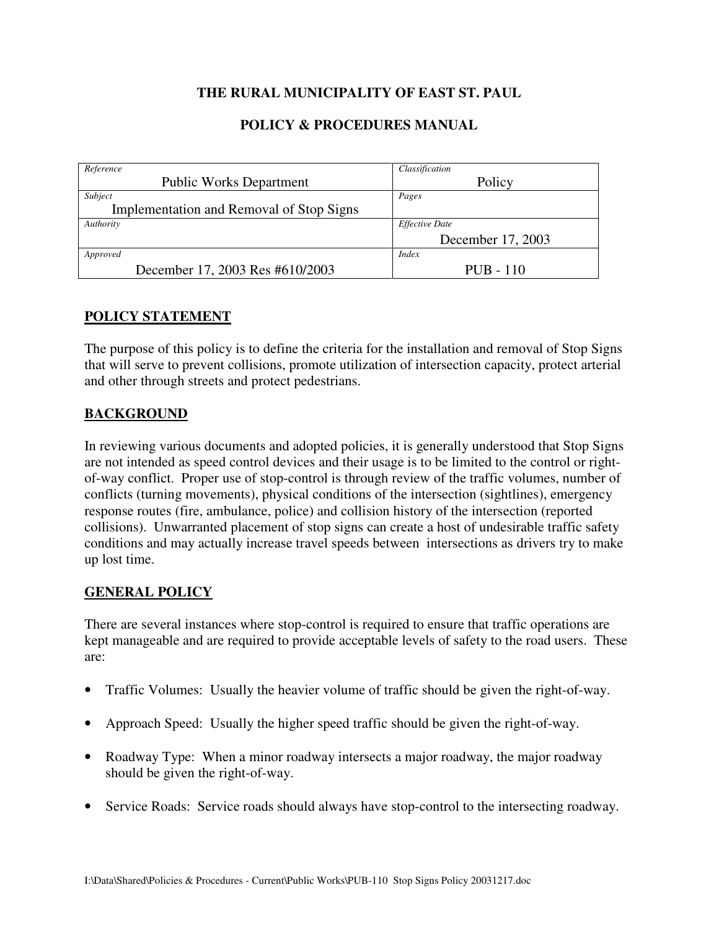# **THE RURAL MUNICIPALITY OF EAST ST. PAUL**

## **POLICY & PROCEDURES MANUAL**

| Reference                                | Classification        |
|------------------------------------------|-----------------------|
| <b>Public Works Department</b>           | Policy                |
| Subject                                  | Pages                 |
| Implementation and Removal of Stop Signs |                       |
| Authority                                | <b>Effective Date</b> |
|                                          | December 17, 2003     |
| Approved                                 | <i>Index</i>          |
| December 17, 2003 Res #610/2003          | $PUB - 110$           |

### **POLICY STATEMENT**

The purpose of this policy is to define the criteria for the installation and removal of Stop Signs that will serve to prevent collisions, promote utilization of intersection capacity, protect arterial and other through streets and protect pedestrians.

### **BACKGROUND**

In reviewing various documents and adopted policies, it is generally understood that Stop Signs are not intended as speed control devices and their usage is to be limited to the control or rightof-way conflict. Proper use of stop-control is through review of the traffic volumes, number of conflicts (turning movements), physical conditions of the intersection (sightlines), emergency response routes (fire, ambulance, police) and collision history of the intersection (reported collisions). Unwarranted placement of stop signs can create a host of undesirable traffic safety conditions and may actually increase travel speeds between intersections as drivers try to make up lost time.

### **GENERAL POLICY**

There are several instances where stop-control is required to ensure that traffic operations are kept manageable and are required to provide acceptable levels of safety to the road users. These are:

- Traffic Volumes: Usually the heavier volume of traffic should be given the right-of-way.
- Approach Speed: Usually the higher speed traffic should be given the right-of-way.
- Roadway Type: When a minor roadway intersects a major roadway, the major roadway should be given the right-of-way.
- Service Roads: Service roads should always have stop-control to the intersecting roadway.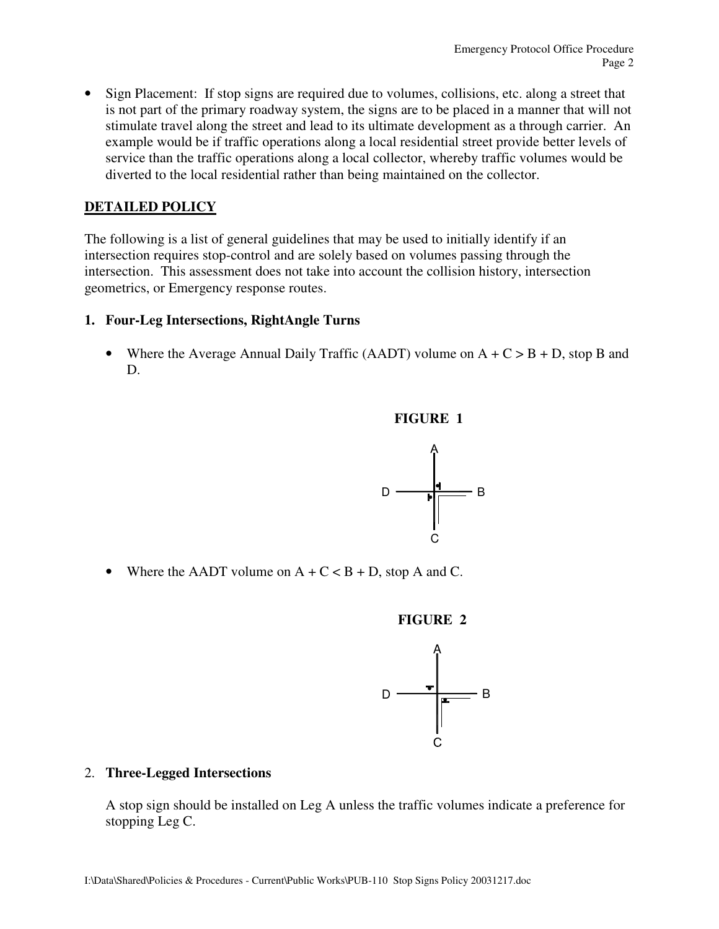• Sign Placement: If stop signs are required due to volumes, collisions, etc. along a street that is not part of the primary roadway system, the signs are to be placed in a manner that will not stimulate travel along the street and lead to its ultimate development as a through carrier. An example would be if traffic operations along a local residential street provide better levels of service than the traffic operations along a local collector, whereby traffic volumes would be diverted to the local residential rather than being maintained on the collector.

## **DETAILED POLICY**

The following is a list of general guidelines that may be used to initially identify if an intersection requires stop-control and are solely based on volumes passing through the intersection. This assessment does not take into account the collision history, intersection geometrics, or Emergency response routes.

#### **1. Four-Leg Intersections, RightAngle Turns**

• Where the Average Annual Daily Traffic (AADT) volume on  $A + C > B + D$ , stop B and D.





• Where the AADT volume on  $A + C < B + D$ , stop A and C.





#### 2. **Three-Legged Intersections**

A stop sign should be installed on Leg A unless the traffic volumes indicate a preference for stopping Leg C.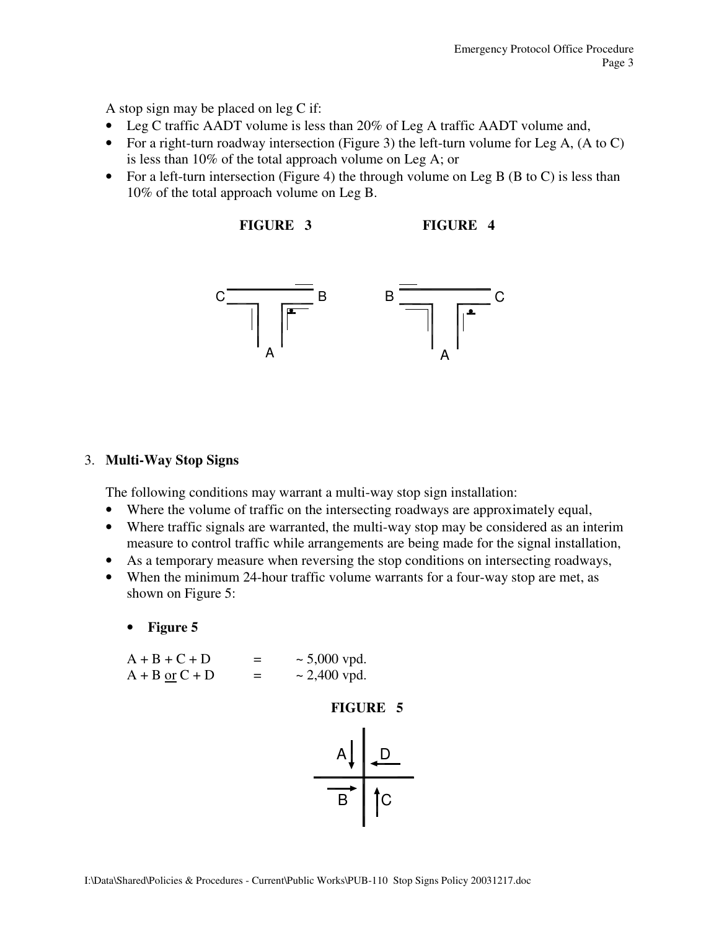A stop sign may be placed on leg C if:

- Leg C traffic AADT volume is less than 20% of Leg A traffic AADT volume and,
- For a right-turn roadway intersection (Figure 3) the left-turn volume for Leg A, (A to C) is less than 10% of the total approach volume on Leg A; or
- For a left-turn intersection (Figure 4) the through volume on Leg B (B to C) is less than 10% of the total approach volume on Leg B.

**FIGURE 3 FIGURE 4** 



#### 3. **Multi-Way Stop Signs**

The following conditions may warrant a multi-way stop sign installation:

- Where the volume of traffic on the intersecting roadways are approximately equal,
- Where traffic signals are warranted, the multi-way stop may be considered as an interim measure to control traffic while arrangements are being made for the signal installation,
- As a temporary measure when reversing the stop conditions on intersecting roadways,
- When the minimum 24-hour traffic volume warrants for a four-way stop are met, as shown on Figure 5:
	- **Figure 5**

 $A + B + C + D$  = ~5,000 vpd.  $A + B \text{ or } C + D$  = ~ 2,400 vpd.



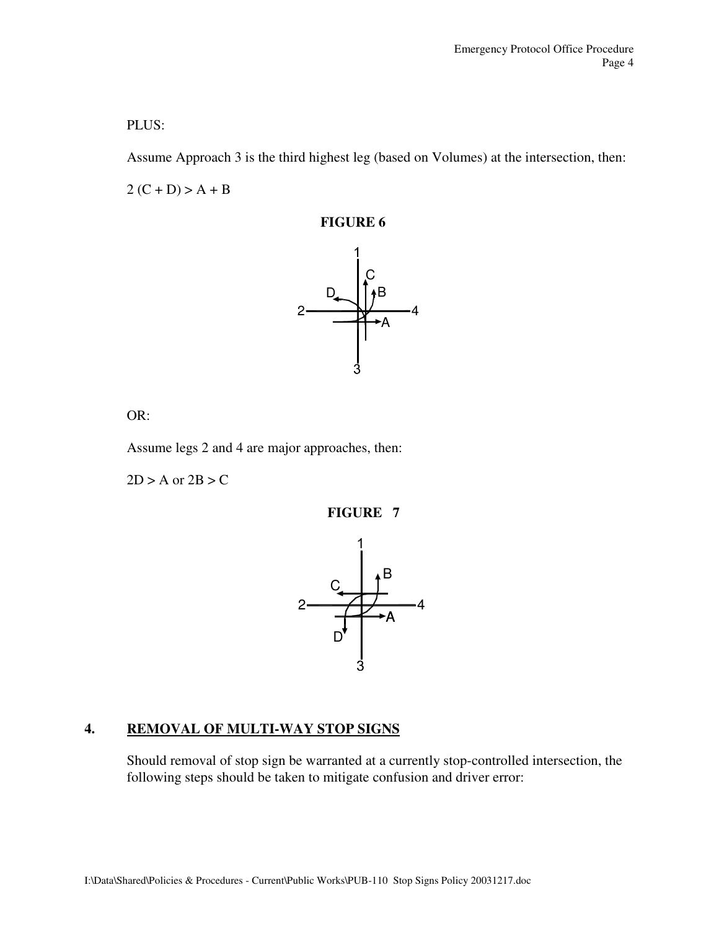### PLUS:

Assume Approach 3 is the third highest leg (based on Volumes) at the intersection, then:

 $2(C + D) > A + B$ 

**FIGURE 6** 



OR:

Assume legs 2 and 4 are major approaches, then:

 $2D > A$  or  $2B > C$ 

**FIGURE 7** 



## **4. REMOVAL OF MULTI-WAY STOP SIGNS**

Should removal of stop sign be warranted at a currently stop-controlled intersection, the following steps should be taken to mitigate confusion and driver error: